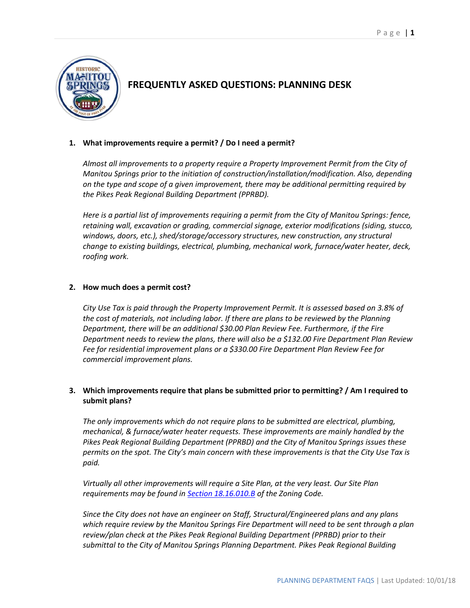

# **FREQUENTLY ASKED QUESTIONS: PLANNING DESK**

## **1. What improvements require a permit? / Do I need a permit?**

*Almost all improvements to a property require a Property Improvement Permit from the City of Manitou Springs prior to the initiation of construction/installation/modification. Also, depending on the type and scope of a given improvement, there may be additional permitting required by the Pikes Peak Regional Building Department (PPRBD).* 

*Here is a partial list of improvements requiring a permit from the City of Manitou Springs: fence, retaining wall, excavation or grading, commercial signage, exterior modifications (siding, stucco, windows, doors, etc.), shed/storage/accessory structures, new construction, any structural change to existing buildings, electrical, plumbing, mechanical work, furnace/water heater, deck, roofing work.*

# **2. How much does a permit cost?**

*City Use Tax is paid through the Property Improvement Permit. It is assessed based on 3.8% of the cost of materials, not including labor. If there are plans to be reviewed by the Planning Department, there will be an additional \$30.00 Plan Review Fee. Furthermore, if the Fire Department needs to review the plans, there will also be a \$132.00 Fire Department Plan Review Fee for residential improvement plans or a \$330.00 Fire Department Plan Review Fee for commercial improvement plans.*

# **3. Which improvements require that plans be submitted prior to permitting? / Am I required to submit plans?**

*The only improvements which do not require plans to be submitted are electrical, plumbing, mechanical, & furnace/water heater requests. These improvements are mainly handled by the Pikes Peak Regional Building Department (PPRBD) and the City of Manitou Springs issues these permits on the spot. The City's main concern with these improvements is that the City Use Tax is paid.*

*Virtually all other improvements will require a Site Plan, at the very least. Our Site Plan requirements may be found in [Section 18.16.010.B](https://library.municode.com/co/manitou_springs/codes/code_of_ordinances?nodeId=TIT18ZO_CH18.16ADRE_18.16.010ADAP) of the Zoning Code.*

*Since the City does not have an engineer on Staff, Structural/Engineered plans and any plans which require review by the Manitou Springs Fire Department will need to be sent through a plan review/plan check at the Pikes Peak Regional Building Department (PPRBD) prior to their submittal to the City of Manitou Springs Planning Department. Pikes Peak Regional Building*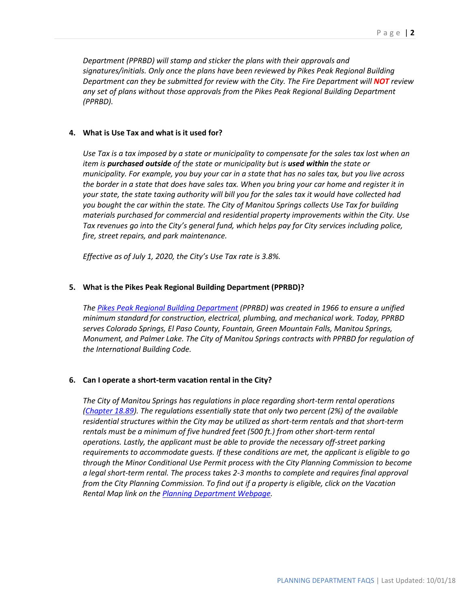*Department (PPRBD) will stamp and sticker the plans with their approvals and signatures/initials. Only once the plans have been reviewed by Pikes Peak Regional Building Department can they be submitted for review with the City. The Fire Department will NOT review any set of plans without those approvals from the Pikes Peak Regional Building Department (PPRBD).*

#### **4. What is Use Tax and what is it used for?**

*Use Tax is a tax imposed by a state or municipality to compensate for the sales tax lost when an item is purchased outside of the state or municipality but is used within the state or municipality. For example, you buy your car in a state that has no sales tax, but you live across the border in a state that does have sales tax. When you bring your car home and register it in your state, the state taxing authority will bill you for the sales tax it would have collected had you bought the car within the state. The City of Manitou Springs collects Use Tax for building materials purchased for commercial and residential property improvements within the City. Use Tax revenues go into the City's general fund, which helps pay for City services including police, fire, street repairs, and park maintenance.*

*Effective as of July 1, 2020, the City's Use Tax rate is 3.8%.*

#### **5. What is the Pikes Peak Regional Building Department (PPRBD)?**

*The [Pikes Peak Regional Building Department](https://www.pprbd.org/Home/Index) (PPRBD) was created in 1966 to ensure a unified minimum standard for construction, electrical, plumbing, and mechanical work. Today, PPRBD serves Colorado Springs, El Paso County, Fountain, Green Mountain Falls, Manitou Springs, Monument, and Palmer Lake. The City of Manitou Springs contracts with PPRBD for regulation of the International Building Code.* 

#### **6. Can I operate a short-term vacation rental in the City?**

*The City of Manitou Springs has regulations in place regarding short-term rental operations [\(Chapter 18.89\)](https://library.municode.com/co/manitou_springs/codes/code_of_ordinances?nodeId=TIT18ZO_CH18.89VARE). The regulations essentially state that only two percent (2%) of the available residential structures within the City may be utilized as short-term rentals and that short-term rentals must be a minimum of five hundred feet (500 ft.) from other short-term rental operations. Lastly, the applicant must be able to provide the necessary off-street parking requirements to accommodate guests. If these conditions are met, the applicant is eligible to go through the Minor Conditional Use Permit process with the City Planning Commission to become a legal short-term rental. The process takes 2-3 months to complete and requires final approval from the City Planning Commission. To find out if a property is eligible, click on the Vacation Rental Map link on th[e Planning Department Webpage.](http://www.manitouspringsgov.com/government/departments/planning/planning-faqs)*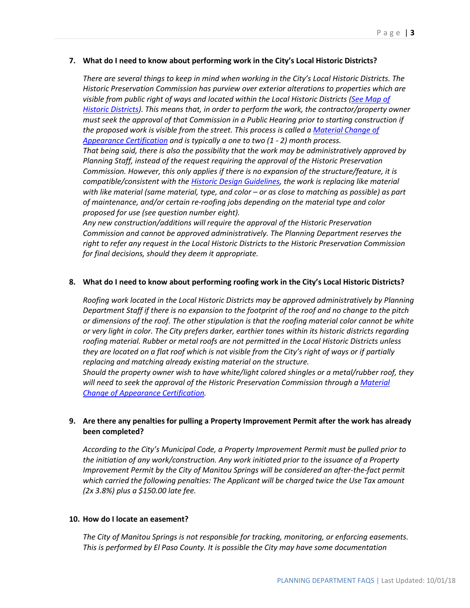#### **7. What do I need to know about performing work in the City's Local Historic Districts?**

*There are several things to keep in mind when working in the City's Local Historic Districts. The Historic Preservation Commission has purview over exterior alterations to properties which are visible from public right of ways and located within the Local Historic Districts [\(See Map of](http://www.manitouspringsgov.com/library/documents/general/planning/Historic_Subdisctricts_with_Addresses.pdf)  [Historic Districts\)](http://www.manitouspringsgov.com/library/documents/general/planning/Historic_Subdisctricts_with_Addresses.pdf). This means that, in order to perform the work, the contractor/property owner must seek the approval of that Commission in a Public Hearing prior to starting construction if the proposed work is visible from the street. This process is called a [Material Change of](https://library.municode.com/co/manitou_springs/codes/code_of_ordinances?nodeId=TIT17HIPR_CH17.04HIPRRE_17.04.050MACHAPCEMC)  [Appearance Certification](https://library.municode.com/co/manitou_springs/codes/code_of_ordinances?nodeId=TIT17HIPR_CH17.04HIPRRE_17.04.050MACHAPCEMC) and is typically a one to two (1 - 2) month process. That being said, there is also the possibility that the work may be administratively approved by Planning Staff, instead of the request requiring the approval of the Historic Preservation* 

*Commission. However, this only applies if there is no expansion of the structure/feature, it is compatible/consistent with the [Historic Design Guidelines,](http://www.manitouspringsgov.com/library/documents/general/historic_district_design_guidelines.pdf) the work is replacing like material with like material (same material, type, and color – or as close to matching as possible) as part of maintenance, and/or certain re-roofing jobs depending on the material type and color proposed for use (see question number eight).* 

*Any new construction/additions will require the approval of the Historic Preservation Commission and cannot be approved administratively. The Planning Department reserves the right to refer any request in the Local Historic Districts to the Historic Preservation Commission for final decisions, should they deem it appropriate.* 

#### **8. What do I need to know about performing roofing work in the City's Local Historic Districts?**

*Roofing work located in the Local Historic Districts may be approved administratively by Planning Department Staff if there is no expansion to the footprint of the roof and no change to the pitch or dimensions of the roof. The other stipulation is that the roofing material color cannot be white or very light in color. The City prefers darker, earthier tones within its historic districts regarding roofing material. Rubber or metal roofs are not permitted in the Local Historic Districts unless they are located on a flat roof which is not visible from the City's right of ways or if partially replacing and matching already existing material on the structure.*

*Should the property owner wish to have white/light colored shingles or a metal/rubber roof, they will need to seek the approval of the Historic Preservation Commission through [a Material](https://library.municode.com/co/manitou_springs/codes/code_of_ordinances?nodeId=TIT17HIPR_CH17.04HIPRRE_17.04.050MACHAPCEMC)  [Change of Appearance Certification.](https://library.municode.com/co/manitou_springs/codes/code_of_ordinances?nodeId=TIT17HIPR_CH17.04HIPRRE_17.04.050MACHAPCEMC)* 

## **9. Are there any penalties for pulling a Property Improvement Permit after the work has already been completed?**

*According to the City's Municipal Code, a Property Improvement Permit must be pulled prior to the initiation of any work/construction. Any work initiated prior to the issuance of a Property Improvement Permit by the City of Manitou Springs will be considered an after-the-fact permit which carried the following penalties: The Applicant will be charged twice the Use Tax amount (2x 3.8%) plus a \$150.00 late fee.*

#### **10. How do I locate an easement?**

*The City of Manitou Springs is not responsible for tracking, monitoring, or enforcing easements. This is performed by El Paso County. It is possible the City may have some documentation*